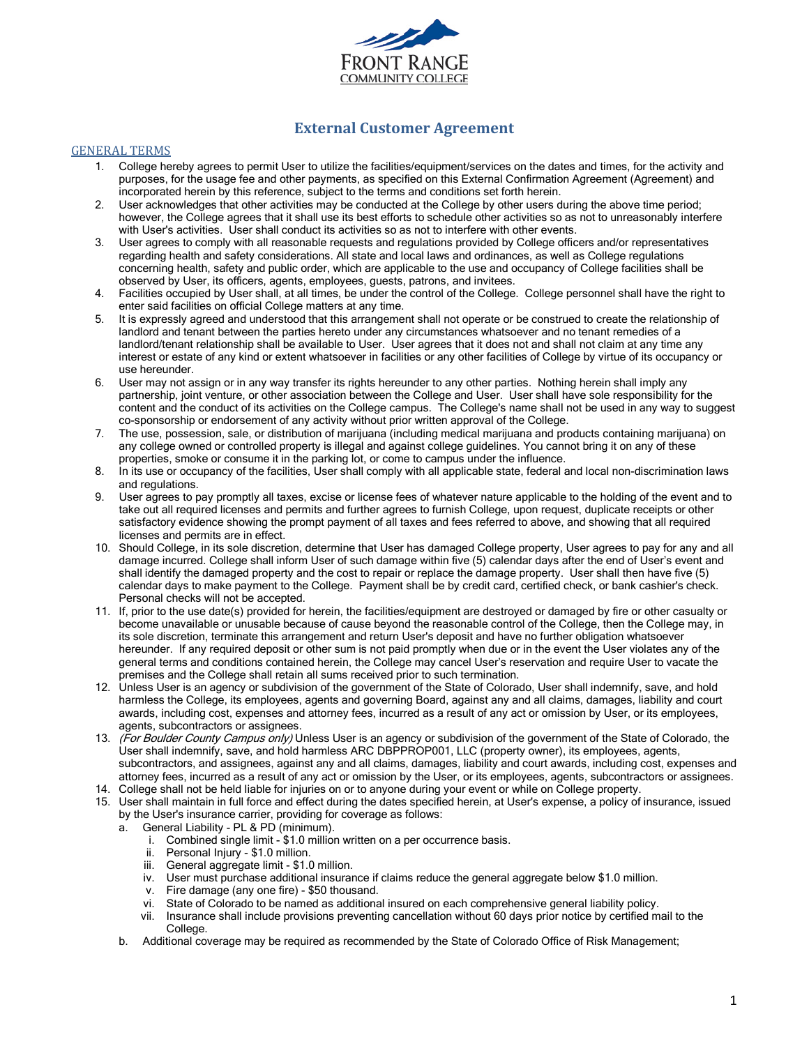

# **External Customer Agreement**

#### GENERAL TERMS

- 1. College hereby agrees to permit User to utilize the facilities/equipment/services on the dates and times, for the activity and purposes, for the usage fee and other payments, as specified on this External Confirmation Agreement (Agreement) and incorporated herein by this reference, subject to the terms and conditions set forth herein.
- 2. User acknowledges that other activities may be conducted at the College by other users during the above time period; however, the College agrees that it shall use its best efforts to schedule other activities so as not to unreasonably interfere with User's activities. User shall conduct its activities so as not to interfere with other events.
- 3. User agrees to comply with all reasonable requests and regulations provided by College officers and/or representatives regarding health and safety considerations. All state and local laws and ordinances, as well as College regulations concerning health, safety and public order, which are applicable to the use and occupancy of College facilities shall be observed by User, its officers, agents, employees, guests, patrons, and invitees.
- 4. Facilities occupied by User shall, at all times, be under the control of the College. College personnel shall have the right to enter said facilities on official College matters at any time.
- 5. It is expressly agreed and understood that this arrangement shall not operate or be construed to create the relationship of landlord and tenant between the parties hereto under any circumstances whatsoever and no tenant remedies of a landlord/tenant relationship shall be available to User. User agrees that it does not and shall not claim at any time any interest or estate of any kind or extent whatsoever in facilities or any other facilities of College by virtue of its occupancy or use hereunder.
- 6. User may not assign or in any way transfer its rights hereunder to any other parties. Nothing herein shall imply any partnership, joint venture, or other association between the College and User. User shall have sole responsibility for the content and the conduct of its activities on the College campus. The College's name shall not be used in any way to suggest co-sponsorship or endorsement of any activity without prior written approval of the College.
- 7. The use, possession, sale, or distribution of marijuana (including medical marijuana and products containing marijuana) on any college owned or controlled property is illegal and against college guidelines. You cannot bring it on any of these properties, smoke or consume it in the parking lot, or come to campus under the influence.
- 8. In its use or occupancy of the facilities, User shall comply with all applicable state, federal and local non-discrimination laws and regulations.
- 9. User agrees to pay promptly all taxes, excise or license fees of whatever nature applicable to the holding of the event and to take out all required licenses and permits and further agrees to furnish College, upon request, duplicate receipts or other satisfactory evidence showing the prompt payment of all taxes and fees referred to above, and showing that all required licenses and permits are in effect.
- 10. Should College, in its sole discretion, determine that User has damaged College property, User agrees to pay for any and all damage incurred. College shall inform User of such damage within five (5) calendar days after the end of User's event and shall identify the damaged property and the cost to repair or replace the damage property. User shall then have five (5) calendar days to make payment to the College. Payment shall be by credit card, certified check, or bank cashier's check. Personal checks will not be accepted.
- 11. If, prior to the use date(s) provided for herein, the facilities/equipment are destroyed or damaged by fire or other casualty or become unavailable or unusable because of cause beyond the reasonable control of the College, then the College may, in its sole discretion, terminate this arrangement and return User's deposit and have no further obligation whatsoever hereunder. If any required deposit or other sum is not paid promptly when due or in the event the User violates any of the general terms and conditions contained herein, the College may cancel User's reservation and require User to vacate the premises and the College shall retain all sums received prior to such termination.
- 12. Unless User is an agency or subdivision of the government of the State of Colorado, User shall indemnify, save, and hold harmless the College, its employees, agents and governing Board, against any and all claims, damages, liability and court awards, including cost, expenses and attorney fees, incurred as a result of any act or omission by User, or its employees, agents, subcontractors or assignees.
- 13. (For Boulder County Campus only) Unless User is an agency or subdivision of the government of the State of Colorado, the User shall indemnify, save, and hold harmless ARC DBPPROP001, LLC (property owner), its employees, agents, subcontractors, and assignees, against any and all claims, damages, liability and court awards, including cost, expenses and attorney fees, incurred as a result of any act or omission by the User, or its employees, agents, subcontractors or assignees.
- 14. College shall not be held liable for injuries on or to anyone during your event or while on College property.
- 15. User shall maintain in full force and effect during the dates specified herein, at User's expense, a policy of insurance, issued by the User's insurance carrier, providing for coverage as follows:
	- a. General Liability PL & PD (minimum).
		- i. Combined single limit \$1.0 million written on a per occurrence basis.
		- ii. Personal Injury \$1.0 million.
		- iii. General aggregate limit \$1.0 million.
		- iv. User must purchase additional insurance if claims reduce the general aggregate below \$1.0 million.
		- v. Fire damage (any one fire) \$50 thousand.
		- vi. State of Colorado to be named as additional insured on each comprehensive general liability policy.
		- vii. Insurance shall include provisions preventing cancellation without 60 days prior notice by certified mail to the College.
	- b. Additional coverage may be required as recommended by the State of Colorado Office of Risk Management;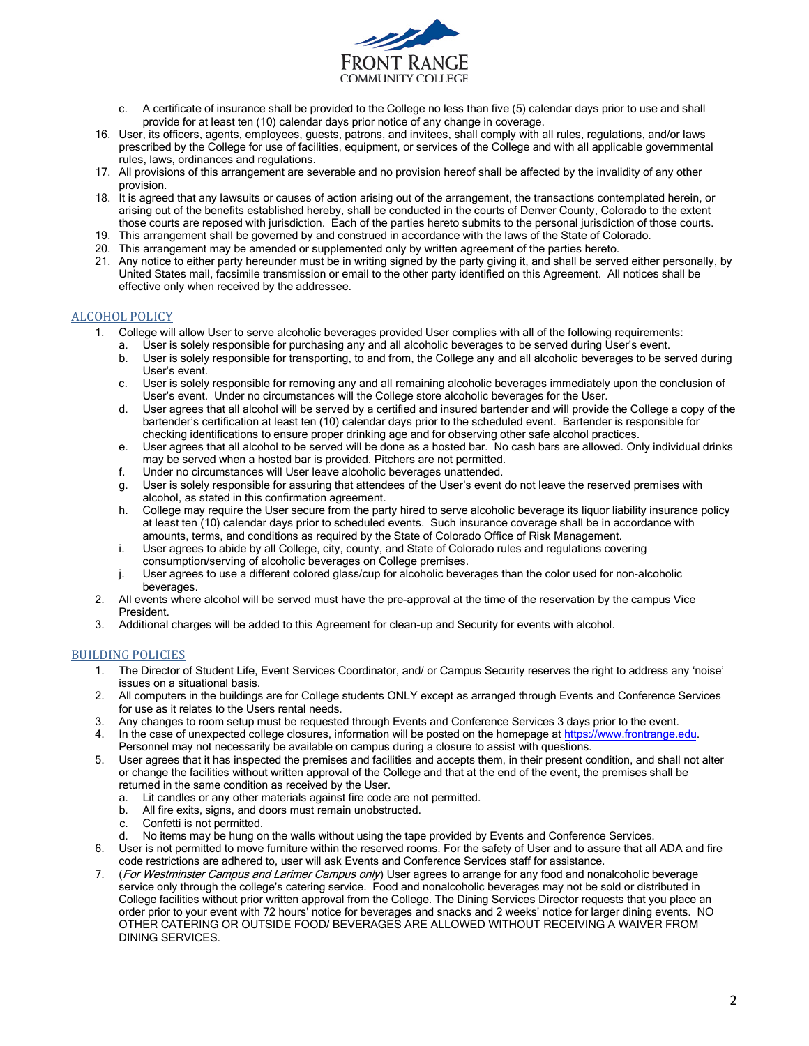

- c. A certificate of insurance shall be provided to the College no less than five (5) calendar days prior to use and shall provide for at least ten (10) calendar days prior notice of any change in coverage.
- 16. User, its officers, agents, employees, guests, patrons, and invitees, shall comply with all rules, regulations, and/or laws prescribed by the College for use of facilities, equipment, or services of the College and with all applicable governmental rules, laws, ordinances and regulations.
- 17. All provisions of this arrangement are severable and no provision hereof shall be affected by the invalidity of any other provision.
- 18. It is agreed that any lawsuits or causes of action arising out of the arrangement, the transactions contemplated herein, or arising out of the benefits established hereby, shall be conducted in the courts of Denver County, Colorado to the extent those courts are reposed with jurisdiction. Each of the parties hereto submits to the personal jurisdiction of those courts.
- 19. This arrangement shall be governed by and construed in accordance with the laws of the State of Colorado.
- 20. This arrangement may be amended or supplemented only by written agreement of the parties hereto.
- 21. Any notice to either party hereunder must be in writing signed by the party giving it, and shall be served either personally, by United States mail, facsimile transmission or email to the other party identified on this Agreement. All notices shall be effective only when received by the addressee.

### ALCOHOL POLICY

- 1. College will allow User to serve alcoholic beverages provided User complies with all of the following requirements:
	- a. User is solely responsible for purchasing any and all alcoholic beverages to be served during User's event.
	- b. User is solely responsible for transporting, to and from, the College any and all alcoholic beverages to be served during User's event.
	- c. User is solely responsible for removing any and all remaining alcoholic beverages immediately upon the conclusion of User's event. Under no circumstances will the College store alcoholic beverages for the User.
	- d. User agrees that all alcohol will be served by a certified and insured bartender and will provide the College a copy of the bartender's certification at least ten (10) calendar days prior to the scheduled event. Bartender is responsible for checking identifications to ensure proper drinking age and for observing other safe alcohol practices.
	- e. User agrees that all alcohol to be served will be done as a hosted bar. No cash bars are allowed. Only individual drinks may be served when a hosted bar is provided. Pitchers are not permitted.
	- f. Under no circumstances will User leave alcoholic beverages unattended.
	- g. User is solely responsible for assuring that attendees of the User's event do not leave the reserved premises with alcohol, as stated in this confirmation agreement.
	- h. College may require the User secure from the party hired to serve alcoholic beverage its liquor liability insurance policy at least ten (10) calendar days prior to scheduled events. Such insurance coverage shall be in accordance with amounts, terms, and conditions as required by the State of Colorado Office of Risk Management.
	- i. User agrees to abide by all College, city, county, and State of Colorado rules and regulations covering consumption/serving of alcoholic beverages on College premises.
	- j. User agrees to use a different colored glass/cup for alcoholic beverages than the color used for non-alcoholic beverages.
- 2. All events where alcohol will be served must have the pre-approval at the time of the reservation by the campus Vice President.
- 3. Additional charges will be added to this Agreement for clean-up and Security for events with alcohol.

## BUILDING POLICIES

- 1. The Director of Student Life, Event Services Coordinator, and/ or Campus Security reserves the right to address any 'noise' issues on a situational basis.
- 2. All computers in the buildings are for College students ONLY except as arranged through Events and Conference Services for use as it relates to the Users rental needs.
- 3. Any changes to room setup must be requested through Events and Conference Services 3 days prior to the event.
- 4. In the case of unexpected college closures, information will be posted on the homepage at https://[www.frontrange.edu.](https://www.frontrange.edu/) Personnel may not necessarily be available on campus during a closure to assist with questions.
- 5. User agrees that it has inspected the premises and facilities and accepts them, in their present condition, and shall not alter or change the facilities without written approval of the College and that at the end of the event, the premises shall be returned in the same condition as received by the User.
	- a. Lit candles or any other materials against fire code are not permitted.
	- b. All fire exits, signs, and doors must remain unobstructed.
	- c. Confetti is not permitted.
	- d. No items may be hung on the walls without using the tape provided by Events and Conference Services.
- 6. User is not permitted to move furniture within the reserved rooms. For the safety of User and to assure that all ADA and fire code restrictions are adhered to, user will ask Events and Conference Services staff for assistance.
- 7. (For Westminster Campus and Larimer Campus only) User agrees to arrange for any food and nonalcoholic beverage service only through the college's catering service. Food and nonalcoholic beverages may not be sold or distributed in College facilities without prior written approval from the College. The Dining Services Director requests that you place an order prior to your event with 72 hours' notice for beverages and snacks and 2 weeks' notice for larger dining events. NO OTHER CATERING OR OUTSIDE FOOD/ BEVERAGES ARE ALLOWED WITHOUT RECEIVING A WAIVER FROM DINING SERVICES.